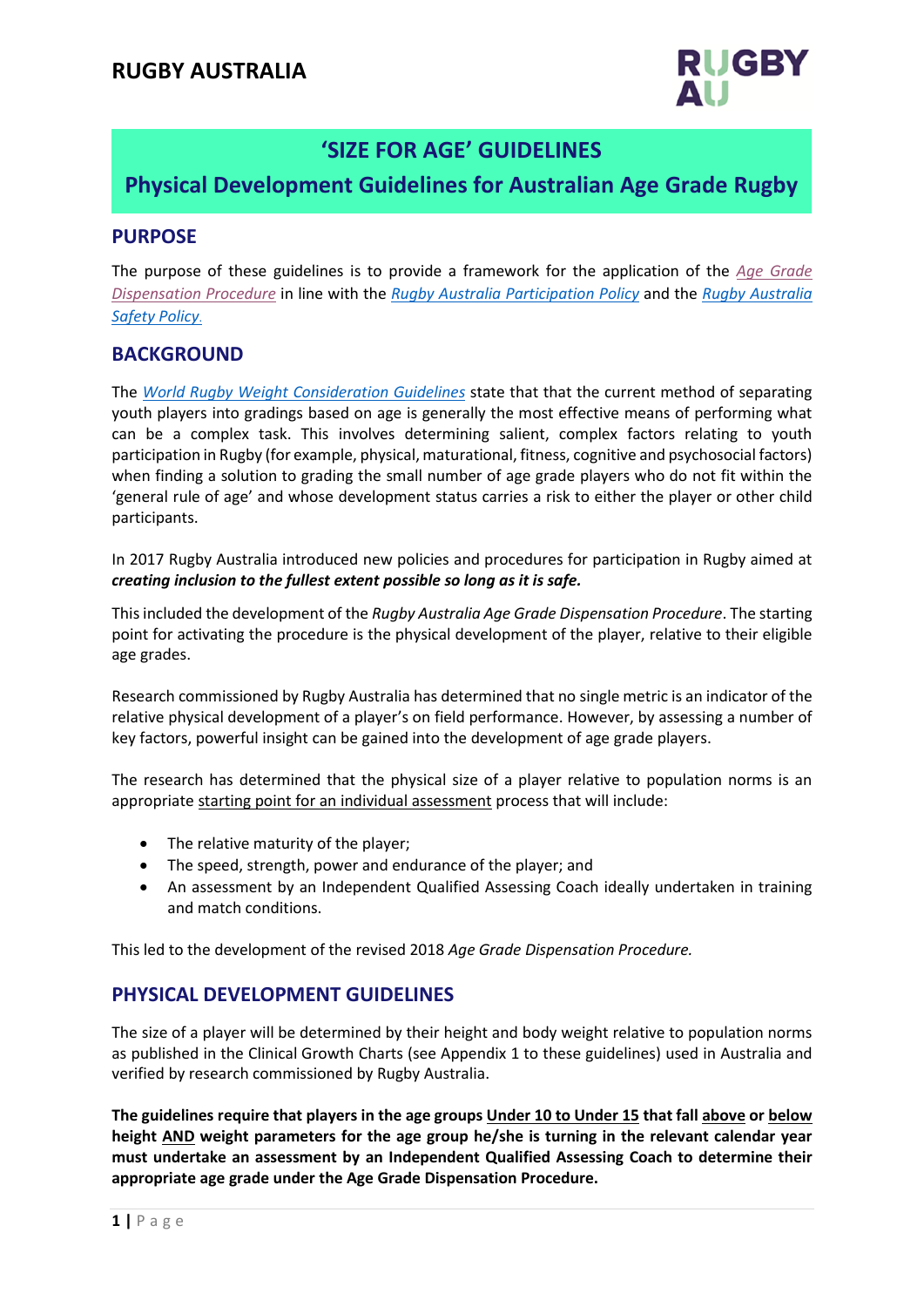

# **'SIZE FOR AGE' GUIDELINES**

# **Physical Development Guidelines for Australian Age Grade Rugby**

**PROCEDURE**

#### **PURPOSE**

The purpose of these guidelines is to provide a framework for the application of the *Age [Grade](http://www.rugbyau.com/-/media/rugbyau/documents/RugbyAustraliaAgeGradeDispensationProcedure.pdf) [Dispensation Procedure](http://www.rugbyaustralia.com.au/Portals/33/Policy%20Register/2018%20Rugby%20Australia%20Age%20Grade%20Dispensation%20Procedure%20.pdf)* in line with the *Rugby Australia [Participation Policy](http://www.rugbyau.com/-/media/rugbyau/documents/RugbyAustraliaParticipationPolicy.pdf)* and the *Rugby [Australia](http://www.rugbyau.com/-/media/rugbyau/documents/RugbyAustraliaSafetyPolicy.pdf)  [Safety Policy](http://www.rugbyaustralia.com.au/Portals/33/Policy%20Register/Safety%20Policy%2028%20Feb%2018.pdf)*.

## **BACKGROUND**

The *World Rugby Weight [Consideration Guidelines](http://playerwelfare.worldrugby.org/?subsection=64)* state that that the current method of separating youth players into gradings based on age is generally the most effective means of performing what can be a complex task. This involves determining salient, complex factors relating to youth participation in Rugby (for example, physical, maturational, fitness, cognitive and psychosocial factors) when finding a solution to grading the small number of age grade players who do not fit within the 'general rule of age' and whose development status carries a risk to either the player or other child participants.

In 2017 Rugby Australia introduced new policies and procedures for participation in Rugby aimed at *creating inclusion to the fullest extent possible so long as it is safe.*

This included the development of the *Rugby Australia Age Grade Dispensation Procedure*. The starting point for activating the procedure is the physical development of the player, relative to their eligible age grades.

Research commissioned by Rugby Australia has determined that no single metric is an indicator of the relative physical development of a player's on field performance. However, by assessing a number of key factors, powerful insight can be gained into the development of age grade players.

The research has determined that the physical size of a player relative to population norms is an appropriate starting point for an individual assessment process that will include:

- The relative maturity of the player;
- The speed, strength, power and endurance of the player; and
- An assessment by an Independent Qualified Assessing Coach ideally undertaken in training and match conditions.

This led to the development of the revised 2018 *Age Grade Dispensation Procedure.*

## **PHYSICAL DEVELOPMENT GUIDELINES**

The size of a player will be determined by their height and body weight relative to population norms as published in the Clinical Growth Charts (see Appendix 1 to these guidelines) used in Australia and verified by research commissioned by Rugby Australia.

**The guidelines require that players in the age groups Under 10 to Under 15 that fall above or below height AND weight parameters for the age group he/she is turning in the relevant calendar year must undertake an assessment by an Independent Qualified Assessing Coach to determine their appropriate age grade under the Age Grade Dispensation Procedure.**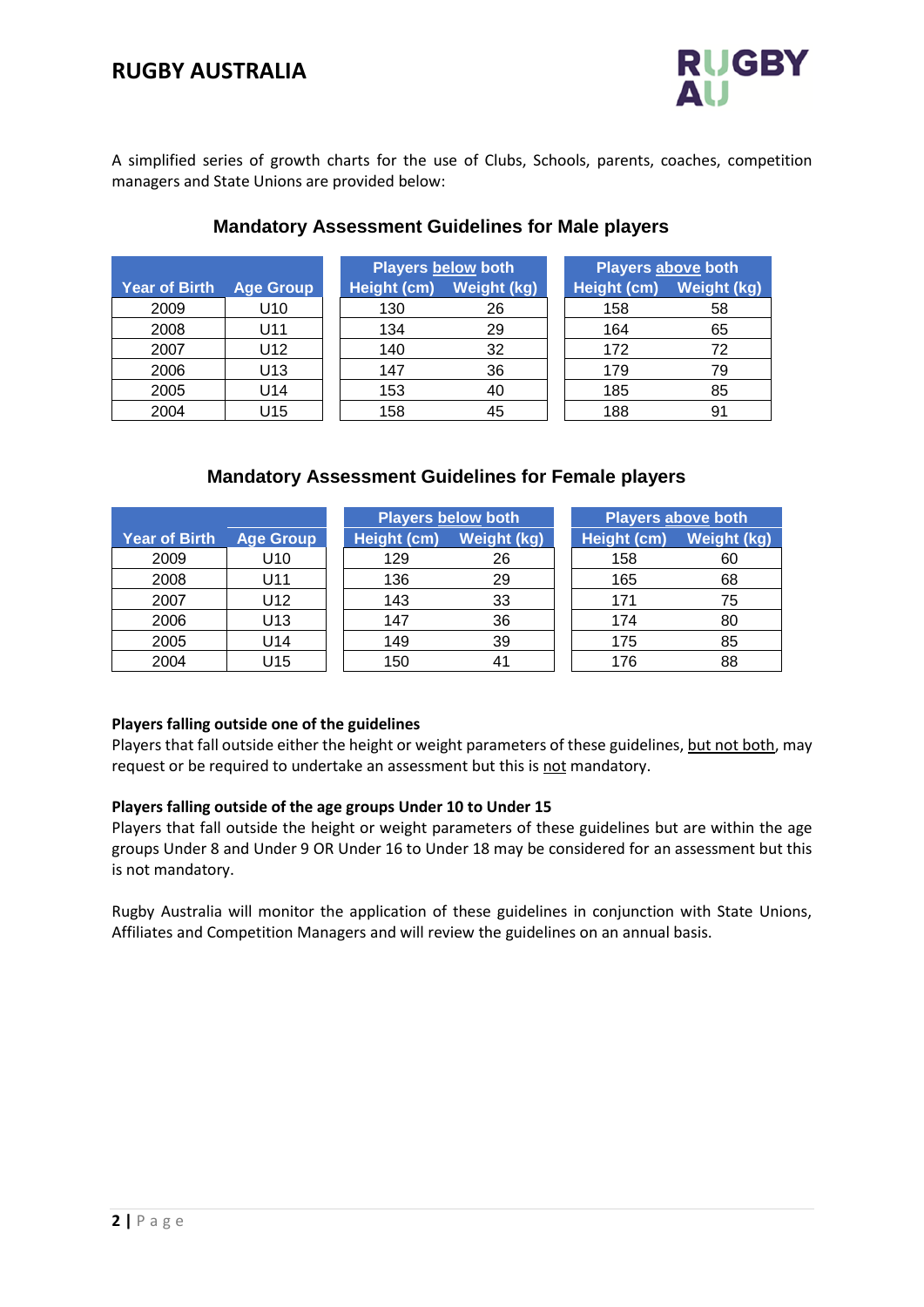

A simplified series of growth charts for the use of Clubs, Schools, parents, coaches, competition managers and State Unions are provided below:

|                      |                  |             | <b>Players below both</b> | Players above both |                    |
|----------------------|------------------|-------------|---------------------------|--------------------|--------------------|
| <b>Year of Birth</b> | <b>Age Group</b> | Height (cm) | <b>Weight (kg)</b>        | Height (cm)        | <b>Weight (kg)</b> |
| 2009                 | U <sub>10</sub>  | 130         | 26                        | 158                | 58                 |
| 2008                 | U11              | 134         | 29                        | 164                | 65                 |
| 2007                 | U12              | 140         | 32                        | 172                | 72                 |
| 2006                 | U <sub>13</sub>  | 147         | 36                        | 179                | 79                 |
| 2005                 | U14              | 153         | 40                        | 185                | 85                 |
| 2004                 | U15              | 158         | 45                        | 188                | 91                 |

## **Mandatory Assessment Guidelines for Male players**

#### **Mandatory Assessment Guidelines for Female players**

|                      |                  | <b>Players below both</b> |                | Players above both |             |
|----------------------|------------------|---------------------------|----------------|--------------------|-------------|
| <b>Year of Birth</b> | <b>Age Group</b> | Height (cm)               | Weight (kg)    | Height (cm)        | Weight (kg) |
| 2009                 | U10              | 129                       | 26             | 158                | 60          |
| 2008                 | U11              | 136                       | 29             | 165                | 68          |
| 2007                 | U12              | 143                       | 33             | 171                | 75          |
| 2006                 | U13              | 147                       | 36             | 174                | 80          |
| 2005                 | U14              | 149                       | 39             | 175                | 85          |
| 2004                 | U15              | 150                       | 4 <sup>1</sup> | 176                | 88          |

#### **Players falling outside one of the guidelines**

Players that fall outside either the height or weight parameters of these guidelines, but not both, may request or be required to undertake an assessment but this is not mandatory.

#### **Players falling outside of the age groups Under 10 to Under 15**

Players that fall outside the height or weight parameters of these guidelines but are within the age groups Under 8 and Under 9 OR Under 16 to Under 18 may be considered for an assessment but this is not mandatory.

Rugby Australia will monitor the application of these guidelines in conjunction with State Unions, Affiliates and Competition Managers and will review the guidelines on an annual basis.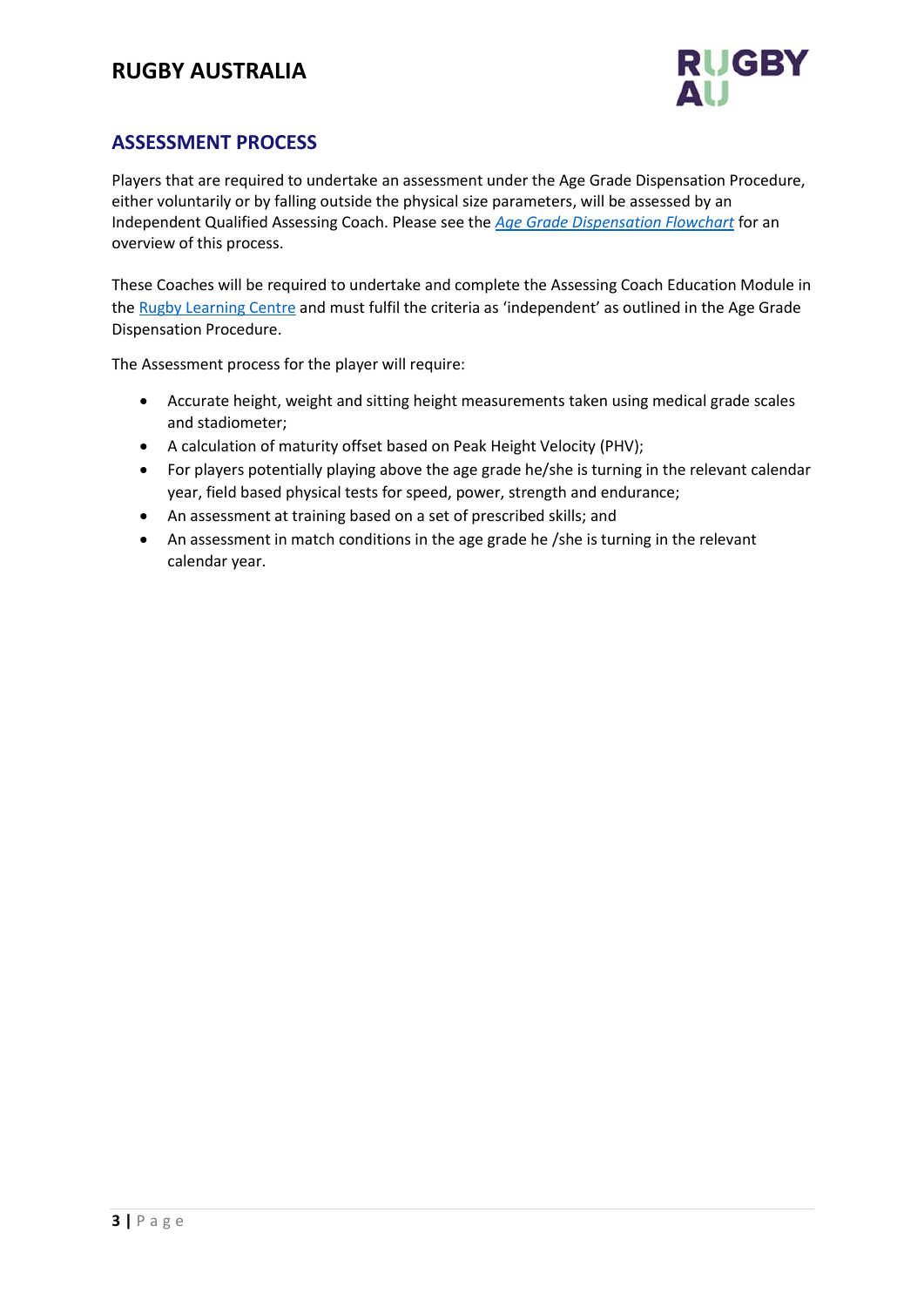# **RUGBY AUSTRALIA**



# **ASSESSMENT PROCESS**

Players that are required to undertake an assessment under the Age Grade Dispensation Procedure, either voluntarily or by falling outside the physical size parameters, will be assessed by an Independent Qualified Assessing Coach. Please see the *[Age Grade Dispensation Flowchart](http://www.rugbyau.com/-/media/rugbyau/documents/AgeGradeDispensationFlowchart.pdf)* for an overview of this process.

These Coaches will be required to undertake and complete the Assessing Coach Education Module in th[e Rugby Learning Centre](https://rugby.force.com/rugbyportal/RL_Login?startURL=%2Frugbyportal) and must fulfil the criteria as 'independent' as outlined in the Age Grade Dispensation Procedure.

The Assessment process for the player will require:

- Accurate height, weight and sitting height measurements taken using medical grade scales and stadiometer;
- A calculation of maturity offset based on Peak Height Velocity (PHV);
- For players potentially playing above the age grade he/she is turning in the relevant calendar year, field based physical tests for speed, power, strength and endurance;
- An assessment at training based on a set of prescribed skills; and
- An assessment in match conditions in the age grade he /she is turning in the relevant calendar year.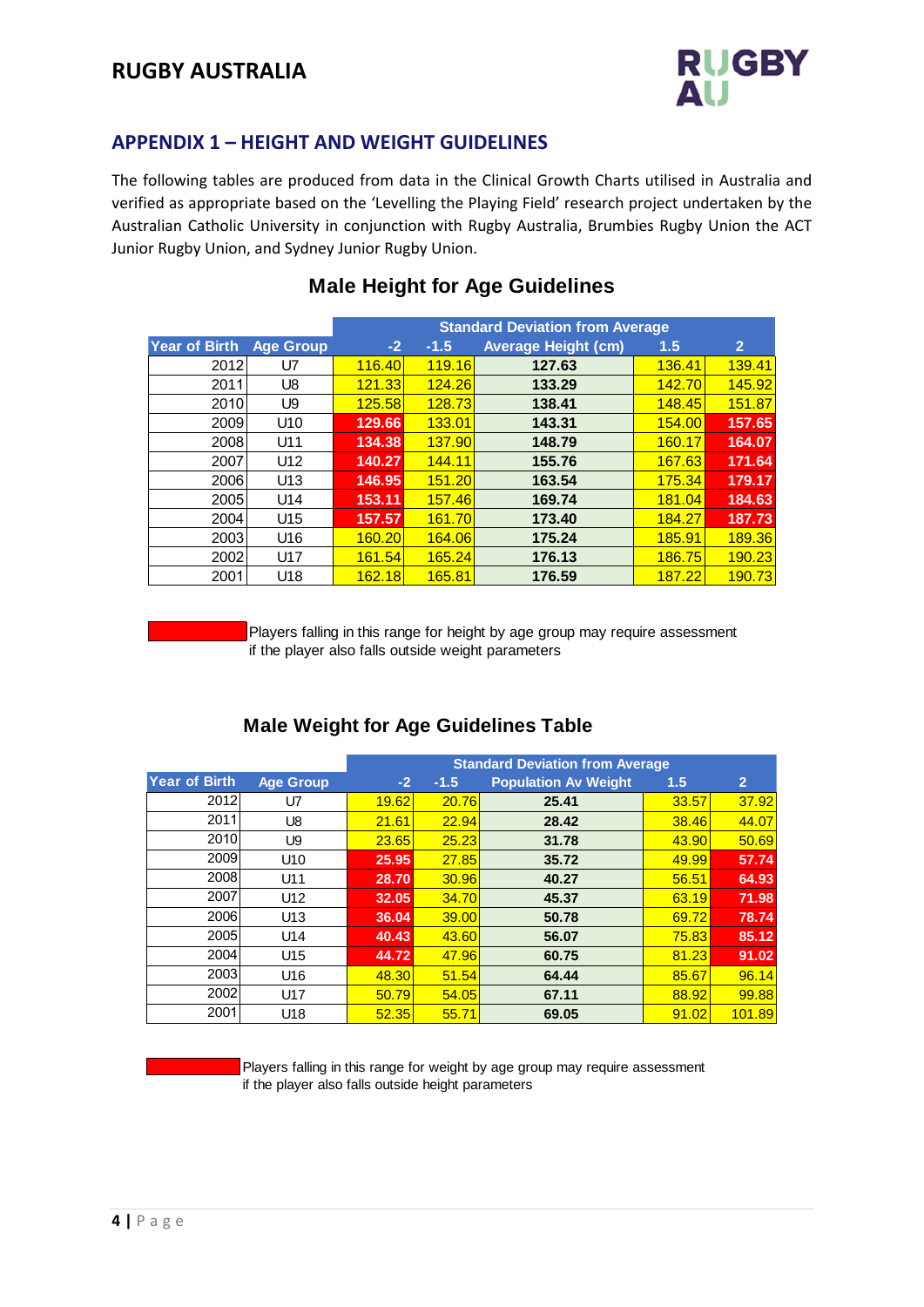# **RUGBY AUSTRALIA**



# **APPENDIX 1 – HEIGHT AND WEIGHT GUIDELINES**

The following tables are produced from data in the Clinical Growth Charts utilised in Australia and verified as appropriate based on the 'Levelling the Playing Field' research project undertaken by the Australian Catholic University in conjunction with Rugby Australia, Brumbies Rugby Union the ACT Junior Rugby Union, and Sydney Junior Rugby Union.

|               |                  |                 |               | <b>Male Height for Age Guidelines</b>  |               |                |
|---------------|------------------|-----------------|---------------|----------------------------------------|---------------|----------------|
|               |                  |                 |               | <b>Standard Deviation from Average</b> |               |                |
| Year of Birth | <b>Age Group</b> | $-2$            | $-1.5$        | <b>Average Height (cm)</b>             | 1.5           | $\overline{2}$ |
| 2012          | U7               | 116.40          | <b>119.16</b> | 127.63                                 | 136.41        | 139.41         |
| 2011          | U8               | <u>121.33</u>   | 124.26        | 133.29                                 | <b>142.70</b> | 145.92         |
| 2010          | U9               | <b>125.58</b>   | 128.73        | 138.41                                 | <b>148.45</b> | 151.87         |
| 2009          | U <sub>10</sub>  | 129.66          | 133.01        | 143.31                                 | 154.00        | 157.65         |
| 2008          | U11              | 134.38          | 137.90        | 148.79                                 | 160.17        | 164.07         |
| 2007          | U <sub>12</sub>  | 140.27          | <b>144.11</b> | 155.76                                 | 167.63        | 171.64         |
| 2006          | U <sub>13</sub>  | 146.95          | 151.20        | 163.54                                 | <u>175.34</u> | 179.17         |
| 2005          | U14              | 153.11          | 157.46        | 169.74                                 | <b>181.04</b> | 184.63         |
| 2004          | U <sub>15</sub>  | 157.57          | 161.70        | 173.40                                 | 184.27        | 187.73         |
| 2003          | U <sub>16</sub>  | <u>160.20  </u> | 164.06        | 175.24                                 | <b>185.91</b> | 189.36         |
| 2002          | U17              | <b>161.54</b>   | 165.24        | 176.13                                 | 186.75        | 190.23         |
| 2001          | U <sub>18</sub>  | 162.18          | 165.81        | 176.59                                 | 187.22        | 190.73         |
|               |                  |                 |               |                                        |               |                |

# **Male Height for Age Guidelines**

Players falling in this range for height by age group may require assessment if the player also falls outside weight parameters

|               |                  |       |        | <b>Male Weight for Age Guidelines Table</b> |              |                |
|---------------|------------------|-------|--------|---------------------------------------------|--------------|----------------|
|               |                  |       |        | <b>Standard Deviation from Average</b>      |              |                |
| Year of Birth | <b>Age Group</b> | $-2$  | $-1.5$ | <b>Population Av Weight</b>                 | 1.5          | $\overline{2}$ |
| 2012          | U7               | 19.62 | 20.76  | 25.41                                       | 33.57        | 37.92          |
| 2011          | U8               | 21.61 | 22.94  | 28.42                                       | <b>38.46</b> | 44.07          |
| 2010          | U9               | 23.65 | 25.23  | 31.78                                       | 43.90        | 50.69          |
| 2009          | U10              | 25.95 | 27.85  | 35.72                                       | 49.99        | 57.74          |
| 2008          | U11              | 28.70 | 30.96  | 40.27                                       | 56.51        | 64.93          |
| 2007          | U12              | 32.05 | 34.70  | 45.37                                       | 63.19        | 71.98          |
| 2006          | U <sub>13</sub>  | 36.04 | 39.00  | 50.78                                       | 69.72        | 78.74          |
| 2005          | U14              | 40.43 | 43.60  | 56.07                                       | 75.83        | 85.12          |
| 2004          | U <sub>15</sub>  | 44.72 | 47.96  | 60.75                                       | 81.23        | 91.02          |
| 2003          | U16              | 48.30 | 51.54  | 64.44                                       | 85.67        | 96.14          |
| 2002          | U17              | 50.79 | 54.05  | 67.11                                       | 88.92        | 99.88          |
| 2001          | U18              | 52.35 | 55.71  | 69.05                                       | 91.02        | 101.89         |
|               |                  |       |        |                                             |              |                |

Players falling in this range for weight by age group may require assessment if the player also falls outside height parameters